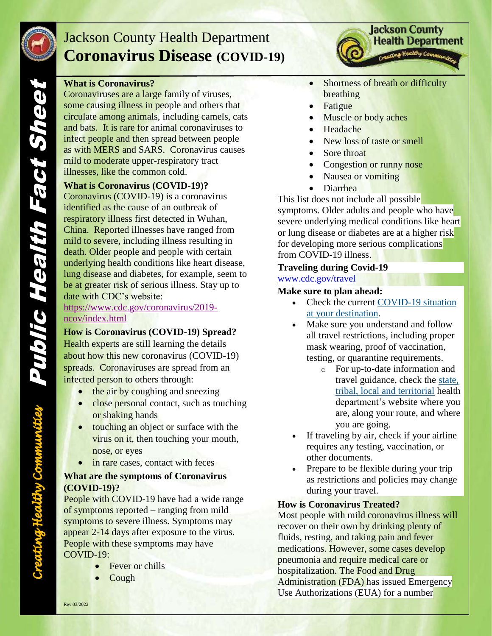

## Jackson County Health Department **Coronavirus Disease (COVID-19)**

#### **What is Coronavirus?**

Coronaviruses are a large family of viruses, some causing illness in people and others that circulate among animals, including camels, cats and bats. It is rare for animal coronaviruses to infect people and then spread between people as with MERS and SARS. Coronavirus causes mild to moderate upper-respiratory tract illnesses, like the common cold.

#### **What is Coronavirus (COVID-19)?**

Coronavirus (COVID-19) is a coronavirus identified as the cause of an outbreak of respiratory illness first detected in Wuhan, China. Reported illnesses have ranged from mild to severe, including illness resulting in death. Older people and people with certain underlying health conditions like heart disease, lung disease and diabetes, for example, seem to be at greater risk of serious illness. Stay up to date with CDC's website:

#### [https://www.cdc.gov/coronavirus/2019](https://www.cdc.gov/coronavirus/2019-ncov/index.html) [ncov/index.html](https://www.cdc.gov/coronavirus/2019-ncov/index.html)

**How is Coronavirus (COVID-19) Spread?** Health experts are still learning the details about how this new coronavirus (COVID-19) spreads. Coronaviruses are spread from an infected person to others through:

- $\bullet$  the air by coughing and sneezing
- close personal contact, such as touching or shaking hands
- touching an object or surface with the virus on it, then touching your mouth, nose, or eyes
- in rare cases, contact with feces

#### **What are the symptoms of Coronavirus (COVID-19)?**

People with COVID-19 have had a wide range of symptoms reported – ranging from mild symptoms to severe illness. Symptoms may appear 2-14 days after exposure to the virus. People with these symptoms may have COVID-19:

- Fever or chills
- Cough

• Shortness of breath or difficulty breathing

**Jackson County Health Department** 

- Fatigue
- Muscle or body aches
- Headache
- New loss of taste or smell
- Sore throat
- Congestion or runny nose
- Nausea or vomiting
- Diarrhea

This list does not include all possible

symptoms. Older adults and people who have severe underlying medical conditions like heart or lung disease or diabetes are at a higher risk for developing more serious complications from COVID-19 illness.

#### **Traveling during Covid-19**

[www.cdc.gov/travel](http://www.cdc.gov/travel)

#### **Make sure to plan ahead:**

- Check the current COVID-19 situation [at your destination.](https://covid.cdc.gov/covid-data-tracker/#cases_community)
- Make sure you understand and follow all travel restrictions, including proper mask wearing, proof of vaccination, testing, or quarantine requirements.
	- o For up-to-date information and travel guidance, check the [state,](https://www.cdc.gov/publichealthgateway/healthdirectories/index.html)  [tribal, local and territorial](https://www.cdc.gov/publichealthgateway/healthdirectories/index.html) health department's website where you are, along your route, and where you are going.
- If traveling by air, check if your airline requires any testing, vaccination, or other documents.
- Prepare to be flexible during your trip as restrictions and policies may change during your travel.

#### **How is Coronavirus Treated?**

Most people with mild coronavirus illness will recover on their own by drinking plenty of fluids, resting, and taking pain and fever medications. However, some cases develop pneumonia and require medical care or hospitalization. The Food and Drug Administration (FDA) has issued Emergency Use Authorizations (EUA) for a number